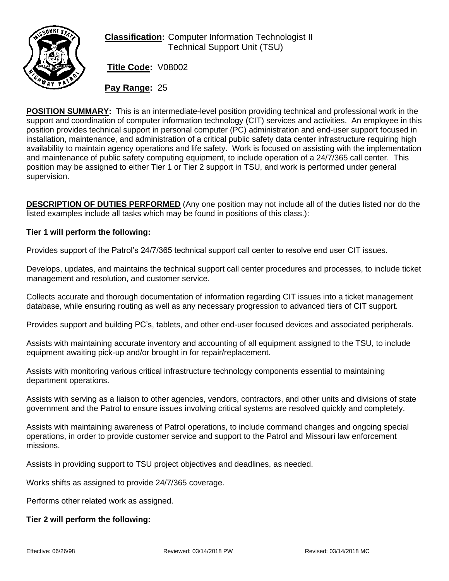

# **Classification:** Computer Information Technologist II Technical Support Unit (TSU)

**Title Code:** V08002

**Pay Range:** 25

**POSITION SUMMARY:** This is an intermediate-level position providing technical and professional work in the support and coordination of computer information technology (CIT) services and activities. An employee in this position provides technical support in personal computer (PC) administration and end-user support focused in installation, maintenance, and administration of a critical public safety data center infrastructure requiring high availability to maintain agency operations and life safety. Work is focused on assisting with the implementation and maintenance of public safety computing equipment, to include operation of a 24/7/365 call center. This position may be assigned to either Tier 1 or Tier 2 support in TSU, and work is performed under general supervision.

**DESCRIPTION OF DUTIES PERFORMED** (Any one position may not include all of the duties listed nor do the listed examples include all tasks which may be found in positions of this class.):

### **Tier 1 will perform the following:**

Provides support of the Patrol's 24/7/365 technical support call center to resolve end user CIT issues.

Develops, updates, and maintains the technical support call center procedures and processes, to include ticket management and resolution, and customer service.

Collects accurate and thorough documentation of information regarding CIT issues into a ticket management database, while ensuring routing as well as any necessary progression to advanced tiers of CIT support.

Provides support and building PC's, tablets, and other end-user focused devices and associated peripherals.

Assists with maintaining accurate inventory and accounting of all equipment assigned to the TSU, to include equipment awaiting pick-up and/or brought in for repair/replacement.

Assists with monitoring various critical infrastructure technology components essential to maintaining department operations.

Assists with serving as a liaison to other agencies, vendors, contractors, and other units and divisions of state government and the Patrol to ensure issues involving critical systems are resolved quickly and completely.

Assists with maintaining awareness of Patrol operations, to include command changes and ongoing special operations, in order to provide customer service and support to the Patrol and Missouri law enforcement missions.

Assists in providing support to TSU project objectives and deadlines, as needed.

Works shifts as assigned to provide 24/7/365 coverage.

Performs other related work as assigned.

#### **Tier 2 will perform the following:**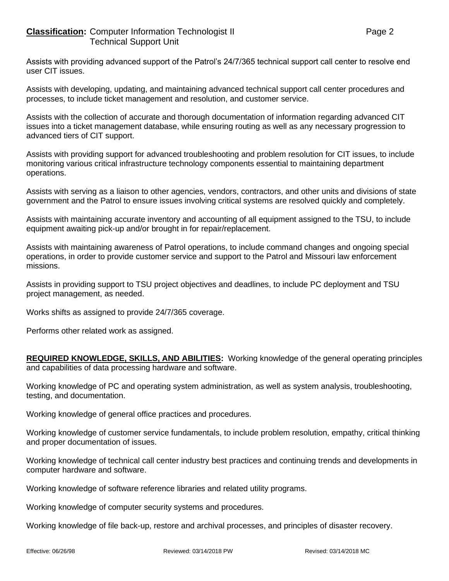Assists with providing advanced support of the Patrol's 24/7/365 technical support call center to resolve end user CIT issues.

Assists with developing, updating, and maintaining advanced technical support call center procedures and processes, to include ticket management and resolution, and customer service.

Assists with the collection of accurate and thorough documentation of information regarding advanced CIT issues into a ticket management database, while ensuring routing as well as any necessary progression to advanced tiers of CIT support.

Assists with providing support for advanced troubleshooting and problem resolution for CIT issues, to include monitoring various critical infrastructure technology components essential to maintaining department operations.

Assists with serving as a liaison to other agencies, vendors, contractors, and other units and divisions of state government and the Patrol to ensure issues involving critical systems are resolved quickly and completely.

Assists with maintaining accurate inventory and accounting of all equipment assigned to the TSU, to include equipment awaiting pick-up and/or brought in for repair/replacement.

Assists with maintaining awareness of Patrol operations, to include command changes and ongoing special operations, in order to provide customer service and support to the Patrol and Missouri law enforcement missions.

Assists in providing support to TSU project objectives and deadlines, to include PC deployment and TSU project management, as needed.

Works shifts as assigned to provide 24/7/365 coverage.

Performs other related work as assigned.

**REQUIRED KNOWLEDGE, SKILLS, AND ABILITIES:** Working knowledge of the general operating principles and capabilities of data processing hardware and software.

Working knowledge of PC and operating system administration, as well as system analysis, troubleshooting, testing, and documentation.

Working knowledge of general office practices and procedures.

Working knowledge of customer service fundamentals, to include problem resolution, empathy, critical thinking and proper documentation of issues.

Working knowledge of technical call center industry best practices and continuing trends and developments in computer hardware and software.

Working knowledge of software reference libraries and related utility programs.

Working knowledge of computer security systems and procedures.

Working knowledge of file back-up, restore and archival processes, and principles of disaster recovery.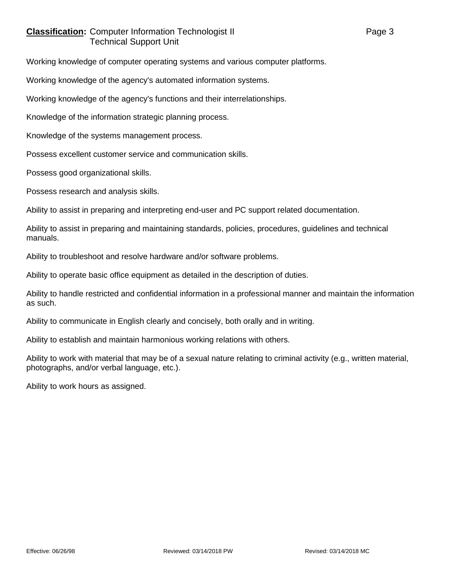## **Classification:** Computer Information Technologist II Page 3 Technical Support Unit

Working knowledge of computer operating systems and various computer platforms.

Working knowledge of the agency's automated information systems.

Working knowledge of the agency's functions and their interrelationships.

Knowledge of the information strategic planning process.

Knowledge of the systems management process.

Possess excellent customer service and communication skills.

Possess good organizational skills.

Possess research and analysis skills.

Ability to assist in preparing and interpreting end-user and PC support related documentation.

Ability to assist in preparing and maintaining standards, policies, procedures, guidelines and technical manuals.

Ability to troubleshoot and resolve hardware and/or software problems.

Ability to operate basic office equipment as detailed in the description of duties.

Ability to handle restricted and confidential information in a professional manner and maintain the information as such.

Ability to communicate in English clearly and concisely, both orally and in writing.

Ability to establish and maintain harmonious working relations with others.

Ability to work with material that may be of a sexual nature relating to criminal activity (e.g., written material, photographs, and/or verbal language, etc.).

Ability to work hours as assigned.